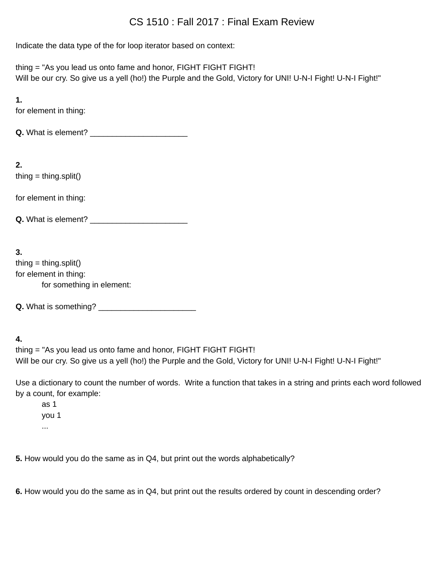# CS 1510 : Fall 2017 : Final Exam Review

Indicate the data type of the for loop iterator based on context:

thing = "As you lead us onto fame and honor, FIGHT FIGHT FIGHT! Will be our cry. So give us a yell (ho!) the Purple and the Gold, Victory for UNI! U-N-I Fight! U-N-I Fight!"

**1.**

for element in thing:

**Q.** What is element?

**2.**

thing  $=$  thing.split()

for element in thing:

**Q.** What is element?

**3.**

thing  $=$  thing.split() for element in thing: for something in element:

**Q.** What is something? \_\_\_\_\_\_\_\_\_\_\_\_\_\_\_\_\_\_\_\_\_\_

## **4.**

thing = "As you lead us onto fame and honor, FIGHT FIGHT FIGHT! Will be our cry. So give us a yell (ho!) the Purple and the Gold, Victory for UNI! U-N-I Fight! U-N-I Fight!"

Use a dictionary to count the number of words. Write a function that takes in a string and prints each word followed by a count, for example:

as 1 you 1 ...

**5.** How would you do the same as in Q4, but print out the words alphabetically?

**6.** How would you do the same as in Q4, but print out the results ordered by count in descending order?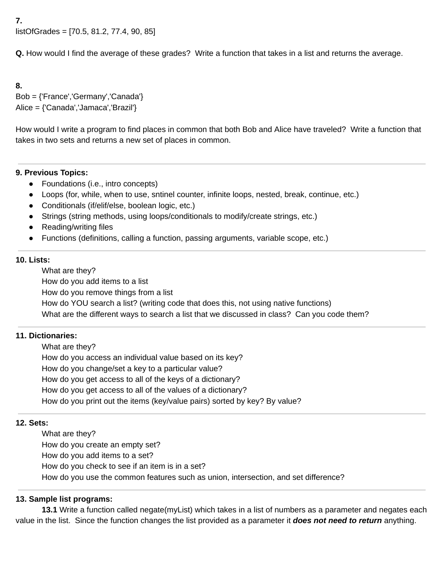**7.** listOfGrades = [70.5, 81.2, 77.4, 90, 85]

**Q.** How would I find the average of these grades? Write a function that takes in a list and returns the average.

**8.** Bob = {'France','Germany','Canada'} Alice = {'Canada','Jamaca','Brazil'}

How would I write a program to find places in common that both Bob and Alice have traveled? Write a function that takes in two sets and returns a new set of places in common.

### **9. Previous Topics:**

- Foundations (i.e., intro concepts)
- Loops (for, while, when to use, sntinel counter, infinite loops, nested, break, continue, etc.)
- Conditionals (if/elif/else, boolean logic, etc.)
- Strings (string methods, using loops/conditionals to modify/create strings, etc.)
- Reading/writing files
- Functions (definitions, calling a function, passing arguments, variable scope, etc.)

### **10. Lists:**

What are they? How do you add items to a list How do you remove things from a list How do YOU search a list? (writing code that does this, not using native functions) What are the different ways to search a list that we discussed in class? Can you code them?

### **11. Dictionaries:**

What are they? How do you access an individual value based on its key? How do you change/set a key to a particular value? How do you get access to all of the keys of a dictionary? How do you get access to all of the values of a dictionary? How do you print out the items (key/value pairs) sorted by key? By value?

### **12. Sets:**

What are they? How do you create an empty set? How do you add items to a set? How do you check to see if an item is in a set? How do you use the common features such as union, intersection, and set difference?

### **13. Sample list programs:**

**13.1** Write a function called negate(myList) which takes in a list of numbers as a parameter and negates each value in the list. Since the function changes the list provided as a parameter it *does not need to return* anything.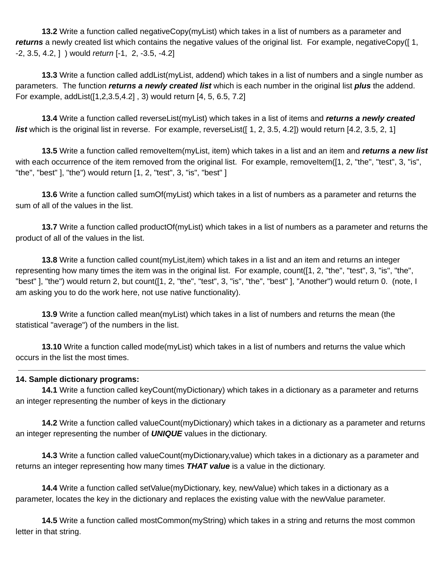**13.2** Write a function called negativeCopy(myList) which takes in a list of numbers as a parameter and *returns* a newly created list which contains the negative values of the original list. For example, negativeCopy([ 1, -2, 3.5, 4.2, ] ) would *return* [-1, 2, -3.5, -4.2]

**13.3** Write a function called addList(myList, addend) which takes in a list of numbers and a single number as parameters. The function *returns a newly created list* which is each number in the original list *plus* the addend. For example, addList([1,2,3.5,4.2] , 3) would return [4, 5, 6.5, 7.2]

**13.4** Write a function called reverseList(myList) which takes in a list of items and *returns a newly created list* which is the original list in reverse. For example, reverseList([1, 2, 3.5, 4.2]) would return [4.2, 3.5, 2, 1]

**13.5** Write a function called removeItem(myList, item) which takes in a list and an item and *returns a new list* with each occurrence of the item removed from the original list. For example, removeItem([1, 2, "the", "test", 3, "is", "the", "best" ], "the") would return [1, 2, "test", 3, "is", "best" ]

**13.6** Write a function called sumOf(myList) which takes in a list of numbers as a parameter and returns the sum of all of the values in the list.

**13.7** Write a function called productOf(myList) which takes in a list of numbers as a parameter and returns the product of all of the values in the list.

**13.8** Write a function called count(myList,item) which takes in a list and an item and returns an integer representing how many times the item was in the original list. For example, count([1, 2, "the", "test", 3, "is", "the", "best" ], "the") would return 2, but count([1, 2, "the", "test", 3, "is", "the", "best" ], "Another") would return 0. (note, I am asking you to do the work here, not use native functionality).

**13.9** Write a function called mean(myList) which takes in a list of numbers and returns the mean (the statistical "average") of the numbers in the list.

**13.10** Write a function called mode(myList) which takes in a list of numbers and returns the value which occurs in the list the most times.

### **14. Sample dictionary programs:**

**14.1** Write a function called keyCount(myDictionary) which takes in a dictionary as a parameter and returns an integer representing the number of keys in the dictionary

**14.2** Write a function called valueCount(myDictionary) which takes in a dictionary as a parameter and returns an integer representing the number of *UNIQUE* values in the dictionary.

**14.3** Write a function called valueCount(myDictionary,value) which takes in a dictionary as a parameter and returns an integer representing how many times *THAT value* is a value in the dictionary.

**14.4** Write a function called setValue(myDictionary, key, newValue) which takes in a dictionary as a parameter, locates the key in the dictionary and replaces the existing value with the newValue parameter.

**14.5** Write a function called mostCommon(myString) which takes in a string and returns the most common letter in that string.